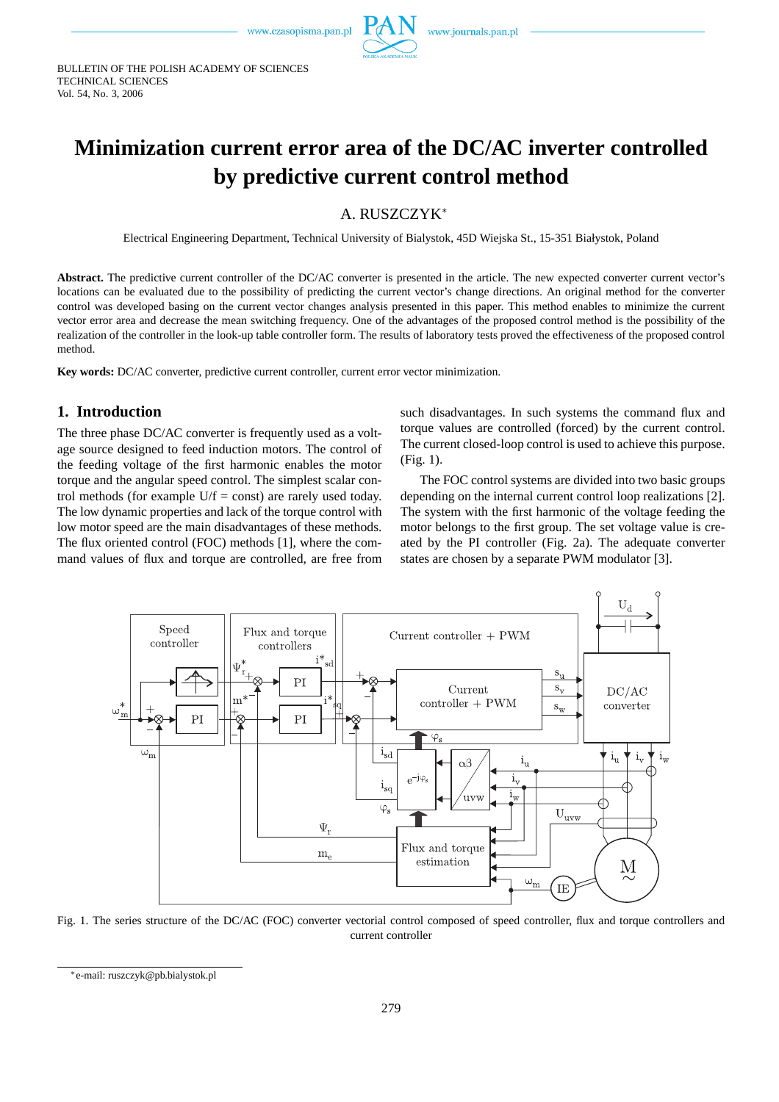

BULLETIN OF THE POLISH ACADEMY OF SCIENCES TECHNICAL SCIENCES Vol. 54, No. 3, 2006

# **Minimization current error area of the DC/AC inverter controlled by predictive current control method**

A. RUSZCZYK<sup>∗</sup>

Electrical Engineering Department, Technical University of Bialystok, 45D Wiejska St., 15-351 Białystok, Poland

Abstract. The predictive current controller of the DC/AC converter is presented in the article. The new expected converter current vector's locations can be evaluated due to the possibility of predicting the current vector's change directions. An original method for the converter control was developed basing on the current vector changes analysis presented in this paper. This method enables to minimize the current vector error area and decrease the mean switching frequency. One of the advantages of the proposed control method is the possibility of the realization of the controller in the look-up table controller form. The results of laboratory tests proved the effectiveness of the proposed control method.

**Key words:** DC/AC converter, predictive current controller, current error vector minimization.

## **1. Introduction**

The three phase DC/AC converter is frequently used as a voltage source designed to feed induction motors. The control of the feeding voltage of the first harmonic enables the motor torque and the angular speed control. The simplest scalar control methods (for example  $U/f = const$ ) are rarely used today. The low dynamic properties and lack of the torque control with low motor speed are the main disadvantages of these methods. The flux oriented control (FOC) methods [1], where the command values of flux and torque are controlled, are free from such disadvantages. In such systems the command flux and torque values are controlled (forced) by the current control. The current closed-loop control is used to achieve this purpose. (Fig. 1).

The FOC control systems are divided into two basic groups depending on the internal current control loop realizations [2]. The system with the first harmonic of the voltage feeding the motor belongs to the first group. The set voltage value is created by the PI controller (Fig. 2a). The adequate converter states are chosen by a separate PWM modulator [3].



Fig. 1. The series structure of the DC/AC (FOC) converter vectorial control composed of speed controller, flux and torque controllers and current controller

<sup>∗</sup>e-mail: ruszczyk@pb.bialystok.pl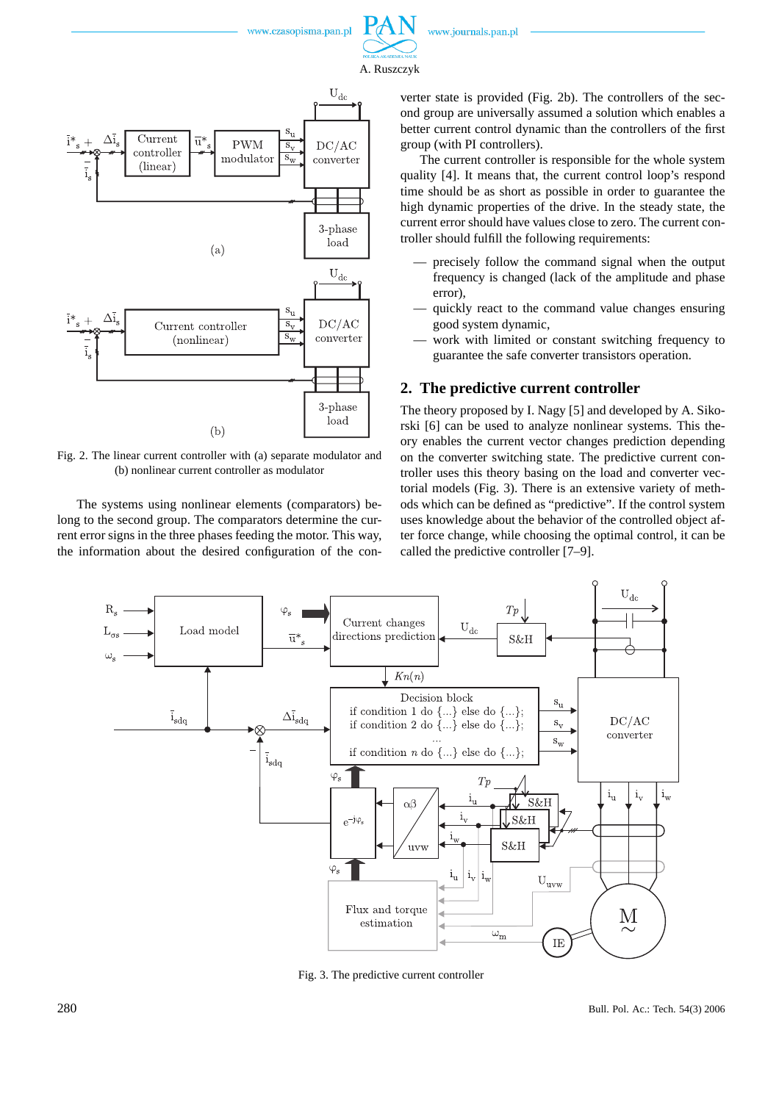

A. Ruszczyk



Fig. 2. The linear current controller with (a) separate modulator and (b) nonlinear current controller as modulator

The systems using nonlinear elements (comparators) belong to the second group. The comparators determine the current error signs in the three phases feeding the motor. This way, the information about the desired configuration of the converter state is provided (Fig. 2b). The controllers of the second group are universally assumed a solution which enables a better current control dynamic than the controllers of the first group (with PI controllers).

The current controller is responsible for the whole system quality [4]. It means that, the current control loop's respond time should be as short as possible in order to guarantee the high dynamic properties of the drive. In the steady state, the current error should have values close to zero. The current controller should fulfill the following requirements:

- precisely follow the command signal when the output frequency is changed (lack of the amplitude and phase error),
- quickly react to the command value changes ensuring good system dynamic,
- work with limited or constant switching frequency to guarantee the safe converter transistors operation.

### **2. The predictive current controller**

The theory proposed by I. Nagy [5] and developed by A. Sikorski [6] can be used to analyze nonlinear systems. This theory enables the current vector changes prediction depending on the converter switching state. The predictive current controller uses this theory basing on the load and converter vectorial models (Fig. 3). There is an extensive variety of methods which can be defined as "predictive". If the control system uses knowledge about the behavior of the controlled object after force change, while choosing the optimal control, it can be called the predictive controller [7–9].



Fig. 3. The predictive current controller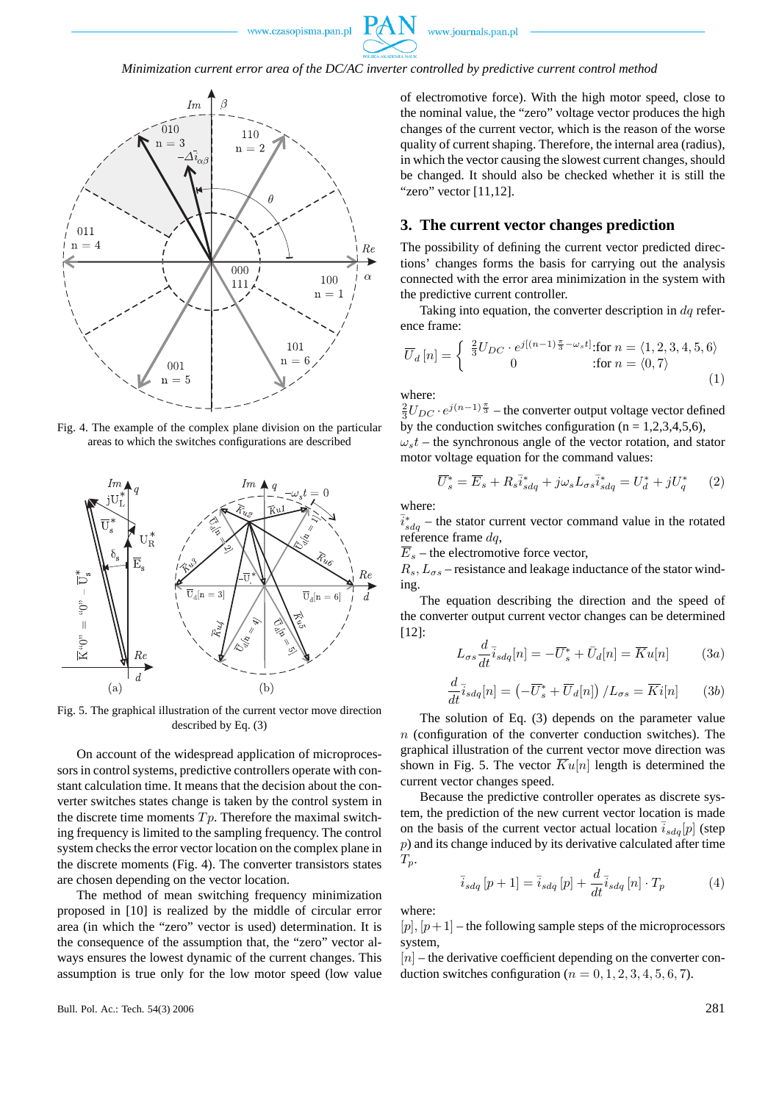

#### *Minimization current error area of the DC/AC inverter controlled by predictive current control method*



Fig. 4. The example of the complex plane division on the particular areas to which the switches configurations are described



Fig. 5. The graphical illustration of the current vector move direction described by Eq. (3)

On account of the widespread application of microprocessors in control systems, predictive controllers operate with constant calculation time. It means that the decision about the converter switches states change is taken by the control system in the discrete time moments  $Tp$ . Therefore the maximal switching frequency is limited to the sampling frequency. The control system checks the error vector location on the complex plane in the discrete moments (Fig. 4). The converter transistors states are chosen depending on the vector location.

The method of mean switching frequency minimization proposed in [10] is realized by the middle of circular error area (in which the "zero" vector is used) determination. It is the consequence of the assumption that, the "zero" vector always ensures the lowest dynamic of the current changes. This assumption is true only for the low motor speed (low value of electromotive force). With the high motor speed, close to the nominal value, the "zero" voltage vector produces the high changes of the current vector, which is the reason of the worse quality of current shaping. Therefore, the internal area (radius), in which the vector causing the slowest current changes, should be changed. It should also be checked whether it is still the "zero" vector [11,12].

#### **3. The current vector changes prediction**

The possibility of defining the current vector predicted directions' changes forms the basis for carrying out the analysis connected with the error area minimization in the system with the predictive current controller.

Taking into equation, the converter description in  $dq$  reference frame:

$$
\overline{U}_d\left[n\right] = \begin{cases} \frac{2}{3}U_{DC} \cdot e^{j\left[(n-1)\frac{\pi}{3} - \omega_s t\right]} : \text{for } n = \langle 1, 2, 3, 4, 5, 6 \rangle\\ 0 & : \text{for } n = \langle 0, 7 \rangle \end{cases} \tag{1}
$$

where:

 $\frac{2}{3}U_{DC} \cdot e^{j(n-1)\frac{\pi}{3}}$  – the converter output voltage vector defined by the conduction switches configuration ( $n = 1,2,3,4,5,6$ ),

 $\omega_s t$  – the synchronous angle of the vector rotation, and stator motor voltage equation for the command values:

$$
\overline{U}_s^* = \overline{E}_s + R_s \overline{i}_{sdq}^* + j\omega_s L_{\sigma s} \overline{i}_{sdq}^* = U_d^* + jU_q^* \qquad (2)
$$

where:

 $\overline{i}_{sdq}^*$  – the stator current vector command value in the rotated reference frame  $dq$ ,

 $\overline{E}_s$  – the electromotive force vector,

 $R_s$ ,  $L_{\sigma s}$  – resistance and leakage inductance of the stator winding.

The equation describing the direction and the speed of the converter output current vector changes can be determined [12]:

$$
L_{\sigma s} \frac{d}{dt} \bar{i}_{sdq}[n] = -\bar{U}_s^* + \bar{U}_d[n] = \overline{K}u[n] \qquad (3a)
$$

$$
\frac{d}{dt}\overline{i}_{sdq}[n] = \left(-\overline{U}_s^* + \overline{U}_d[n]\right) / L_{\sigma s} = \overline{K}i[n] \qquad (3b)
$$

The solution of Eq. (3) depends on the parameter value  $n$  (configuration of the converter conduction switches). The graphical illustration of the current vector move direction was shown in Fig. 5. The vector  $\overline{K}u[n]$  length is determined the current vector changes speed.

Because the predictive controller operates as discrete system, the prediction of the new current vector location is made on the basis of the current vector actual location  $\overline{i}_{sdq}[p]$  (step p) and its change induced by its derivative calculated after time  $T_p$ .

$$
\bar{i}_{sdq}[p+1] = \bar{i}_{sdq}[p] + \frac{d}{dt}\bar{i}_{sdq}[n] \cdot T_p \tag{4}
$$

where:

 $[p], [p+1]$  – the following sample steps of the microprocessors system,

 $[n]$  – the derivative coefficient depending on the converter conduction switches configuration ( $n = 0, 1, 2, 3, 4, 5, 6, 7$ ).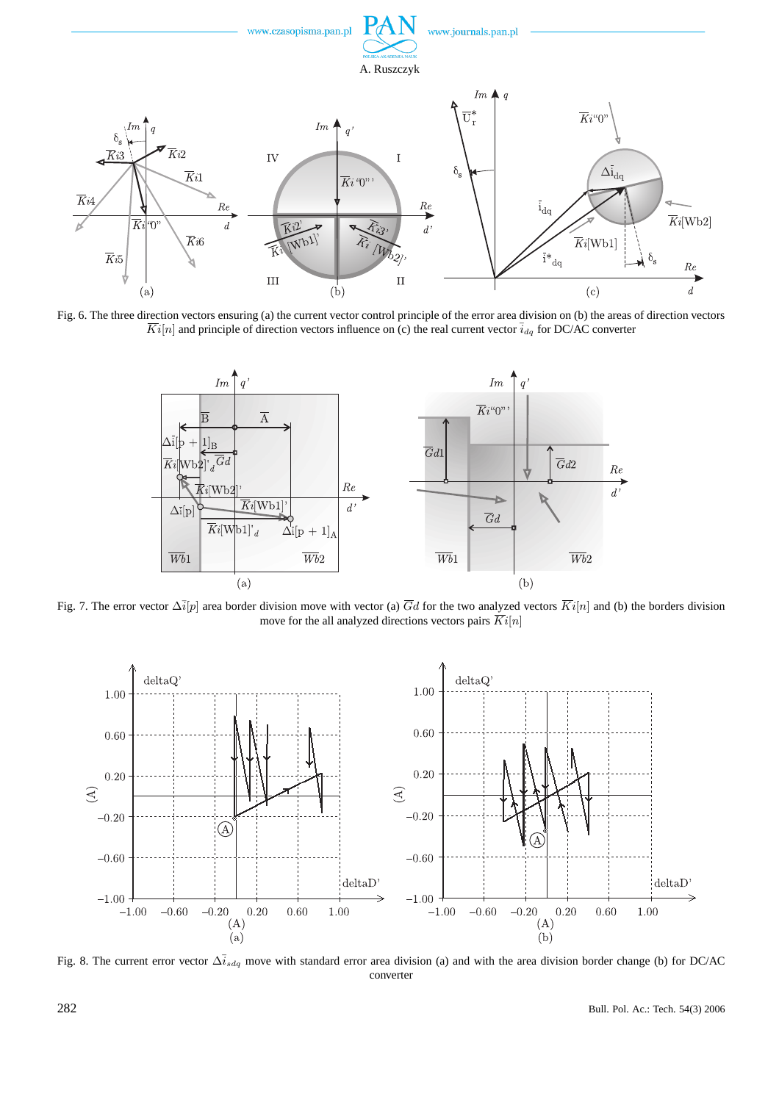

Fig. 6. The three direction vectors ensuring (a) the current vector control principle of the error area division on (b) the areas of direction vectors  $\overline{Ki}[n]$  and principle of direction vectors influence on (c) the real current vector  $\overline{i}_{dq}$  for DC/AC converter



Fig. 7. The error vector  $\Delta \bar{i}[p]$  area border division move with vector (a)  $\bar{G}d$  for the two analyzed vectors  $\bar{K}i[n]$  and (b) the borders division move for the all analyzed directions vectors pairs  $\overline{Ki}[n]$ 



Fig. 8. The current error vector  $\Delta i_{sdq}$  move with standard error area division (a) and with the area division border change (b) for DC/AC converter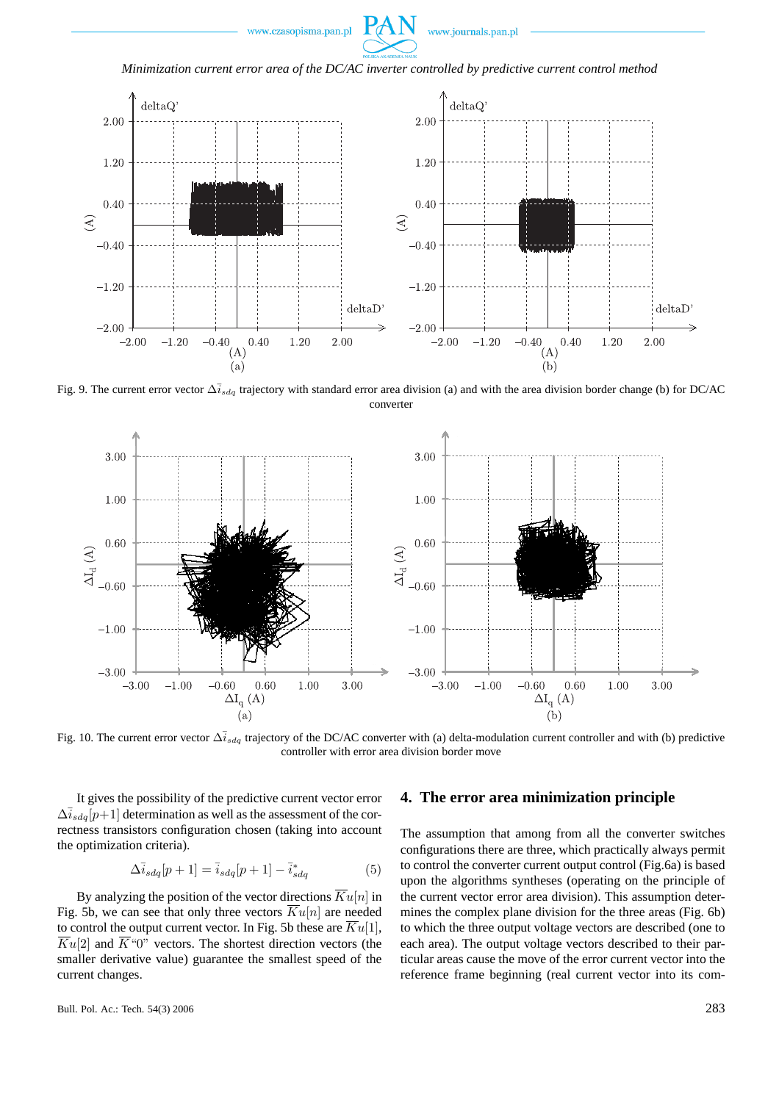



*Minimization current error area of the DC/AC inverter controlled by predictive current control method*



Fig. 9. The current error vector  $\Delta \bar{i}_{sdq}$  trajectory with standard error area division (a) and with the area division border change (b) for DC/AC converter



Fig. 10. The current error vector  $\Delta \bar{i}_{sdq}$  trajectory of the DC/AC converter with (a) delta-modulation current controller and with (b) predictive controller with error area division border move

It gives the possibility of the predictive current vector error  $\Delta i_{sdq}[p+1]$  determination as well as the assessment of the correctness transistors configuration chosen (taking into account the optimization criteria).

$$
\Delta \bar{i}_{sdq}[p+1] = \bar{i}_{sdq}[p+1] - \bar{i}_{sdq}^* \tag{5}
$$

By analyzing the position of the vector directions  $\overline{K}u[n]$  in Fig. 5b, we can see that only three vectors  $\overline{K}u[n]$  are needed to control the output current vector. In Fig. 5b these are  $\overline{K}u[1]$ ,  $\overline{K}u[2]$  and  $\overline{K}^00$ " vectors. The shortest direction vectors (the smaller derivative value) guarantee the smallest speed of the current changes.

#### **4. The error area minimization principle**

The assumption that among from all the converter switches configurations there are three, which practically always permit to control the converter current output control (Fig.6a) is based upon the algorithms syntheses (operating on the principle of the current vector error area division). This assumption determines the complex plane division for the three areas (Fig. 6b) to which the three output voltage vectors are described (one to each area). The output voltage vectors described to their particular areas cause the move of the error current vector into the reference frame beginning (real current vector into its com-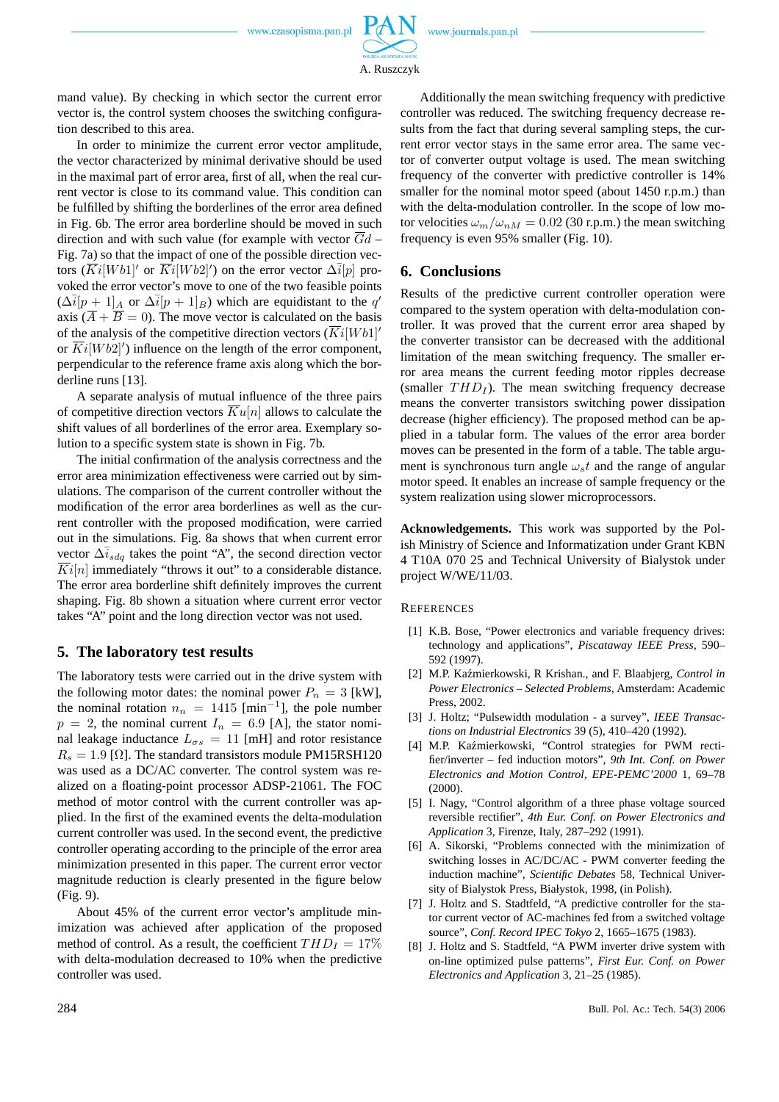www.journals.pan.pl

A. Ruszczyk

mand value). By checking in which sector the current error vector is, the control system chooses the switching configuration described to this area.

In order to minimize the current error vector amplitude, the vector characterized by minimal derivative should be used in the maximal part of error area, first of all, when the real current vector is close to its command value. This condition can be fulfilled by shifting the borderlines of the error area defined in Fig. 6b. The error area borderline should be moved in such direction and with such value (for example with vector  $\overline{G}d$  – Fig. 7a) so that the impact of one of the possible direction vectors  $(\overline{Ki}|Wb1|'$  or  $\overline{Ki}|Wb2|'$ ) on the error vector  $\Delta i[p]$  provoked the error vector's move to one of the two feasible points  $(\Delta \bar{i}[p+1]_A$  or  $\Delta \bar{i}[p+1]_B)$  which are equidistant to the q' axis  $(\overline{A} + \overline{B} = 0)$ . The move vector is calculated on the basis of the analysis of the competitive direction vectors  $(Ki[Wh1]$ <sup>n</sup> or  $\overline{Ki}[Wb2]'$ ) influence on the length of the error component, perpendicular to the reference frame axis along which the borderline runs [13].

A separate analysis of mutual influence of the three pairs of competitive direction vectors  $\overline{K}u[n]$  allows to calculate the shift values of all borderlines of the error area. Exemplary solution to a specific system state is shown in Fig. 7b.

The initial confirmation of the analysis correctness and the error area minimization effectiveness were carried out by simulations. The comparison of the current controller without the modification of the error area borderlines as well as the current controller with the proposed modification, were carried out in the simulations. Fig. 8a shows that when current error vector  $\Delta \bar{i}_{sda}$  takes the point "A", the second direction vector  $Ki[n]$  immediately "throws it out" to a considerable distance. The error area borderline shift definitely improves the current shaping. Fig. 8b shown a situation where current error vector takes "A" point and the long direction vector was not used.

#### **5. The laboratory test results**

The laboratory tests were carried out in the drive system with the following motor dates: the nominal power  $P_n = 3$  [kW], the nominal rotation  $n_n = 1415$  [min<sup>-1</sup>], the pole number  $p = 2$ , the nominal current  $I_n = 6.9$  [A], the stator nominal leakage inductance  $L_{\sigma s} = 11$  [mH] and rotor resistance  $R_s = 1.9$  [ $\Omega$ ]. The standard transistors module PM15RSH120 was used as a DC/AC converter. The control system was realized on a floating-point processor ADSP-21061. The FOC method of motor control with the current controller was applied. In the first of the examined events the delta-modulation current controller was used. In the second event, the predictive controller operating according to the principle of the error area minimization presented in this paper. The current error vector magnitude reduction is clearly presented in the figure below (Fig. 9).

About 45% of the current error vector's amplitude minimization was achieved after application of the proposed method of control. As a result, the coefficient  $THD<sub>I</sub> = 17\%$ with delta-modulation decreased to 10% when the predictive controller was used.

Additionally the mean switching frequency with predictive controller was reduced. The switching frequency decrease results from the fact that during several sampling steps, the current error vector stays in the same error area. The same vector of converter output voltage is used. The mean switching frequency of the converter with predictive controller is 14% smaller for the nominal motor speed (about 1450 r.p.m.) than with the delta-modulation controller. In the scope of low motor velocities  $\omega_m/\omega_{nM} = 0.02$  (30 r.p.m.) the mean switching frequency is even 95% smaller (Fig. 10).

#### **6. Conclusions**

Results of the predictive current controller operation were compared to the system operation with delta-modulation controller. It was proved that the current error area shaped by the converter transistor can be decreased with the additional limitation of the mean switching frequency. The smaller error area means the current feeding motor ripples decrease (smaller  $THD<sub>I</sub>$ ). The mean switching frequency decrease means the converter transistors switching power dissipation decrease (higher efficiency). The proposed method can be applied in a tabular form. The values of the error area border moves can be presented in the form of a table. The table argument is synchronous turn angle  $\omega_s t$  and the range of angular motor speed. It enables an increase of sample frequency or the system realization using slower microprocessors.

**Acknowledgements.** This work was supported by the Polish Ministry of Science and Informatization under Grant KBN 4 T10A 070 25 and Technical University of Bialystok under project W/WE/11/03.

**REFERENCES** 

- [1] K.B. Bose, "Power electronics and variable frequency drives: technology and applications", *Piscataway IEEE Press*, 590– 592 (1997).
- [2] M.P. Kaźmierkowski, R Krishan., and F. Blaabjerg, *Control in Power Electronics – Selected Problems*, Amsterdam: Academic Press, 2002.
- [3] J. Holtz; "Pulsewidth modulation a survey", *IEEE Transactions on Industrial Electronics* 39 (5), 410–420 (1992).
- [4] M.P. Kaźmierkowski, "Control strategies for PWM rectifier/inverter – fed induction motors", *9th Int. Conf. on Power Electronics and Motion Control, EPE-PEMC'2000* 1, 69–78 (2000).
- [5] I. Nagy, "Control algorithm of a three phase voltage sourced reversible rectifier", *4th Eur. Conf. on Power Electronics and Application* 3, Firenze, Italy, 287–292 (1991).
- [6] A. Sikorski, "Problems connected with the minimization of switching losses in AC/DC/AC - PWM converter feeding the induction machine", *Scientific Debates* 58, Technical University of Bialystok Press, Białystok, 1998, (in Polish).
- [7] J. Holtz and S. Stadtfeld, "A predictive controller for the stator current vector of AC-machines fed from a switched voltage source", *Conf. Record IPEC Tokyo* 2, 1665–1675 (1983).
- [8] J. Holtz and S. Stadtfeld, "A PWM inverter drive system with on-line optimized pulse patterns", *First Eur. Conf. on Power Electronics and Application* 3, 21–25 (1985).